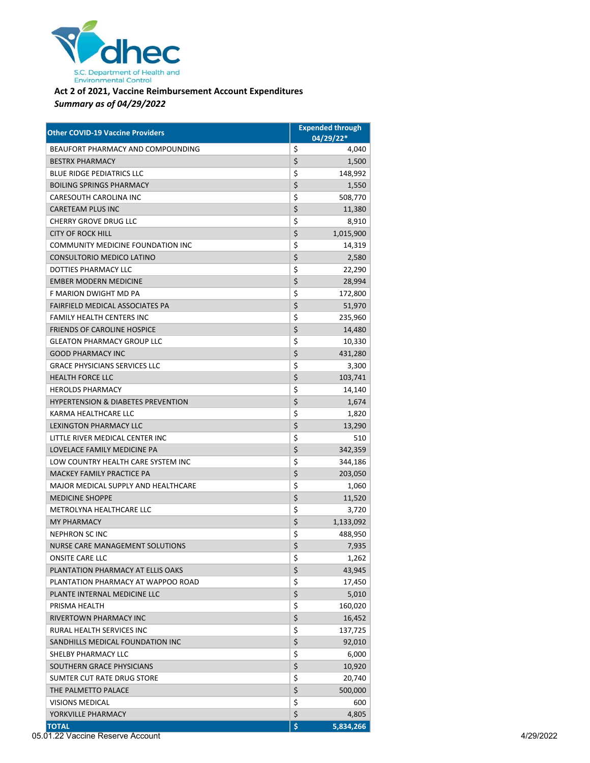

## **Act 2 of 2021, Vaccine Reimbursement Account Expenditures** *Summary as of 04/29/2022*

| <b>Other COVID-19 Vaccine Providers</b>       | <b>Expended through</b> |
|-----------------------------------------------|-------------------------|
|                                               | $04/29/22*$             |
| BEAUFORT PHARMACY AND COMPOUNDING             | \$<br>4,040             |
| <b>BESTRX PHARMACY</b>                        | \$<br>1,500             |
| <b>BLUE RIDGE PEDIATRICS LLC</b>              | \$<br>148,992           |
| <b>BOILING SPRINGS PHARMACY</b>               | \$<br>1,550             |
| <b>CARESOUTH CAROLINA INC</b>                 | \$<br>508,770           |
| <b>CARETEAM PLUS INC</b>                      | \$<br>11,380            |
| <b>CHERRY GROVE DRUG LLC</b>                  | \$<br>8,910             |
| <b>CITY OF ROCK HILL</b>                      | \$<br>1,015,900         |
| COMMUNITY MEDICINE FOUNDATION INC             | \$<br>14,319            |
| CONSULTORIO MEDICO LATINO                     | \$<br>2,580             |
| DOTTIES PHARMACY LLC                          | \$<br>22,290            |
| <b>EMBER MODERN MEDICINE</b>                  | \$<br>28,994            |
| F MARION DWIGHT MD PA                         | \$<br>172,800           |
| FAIRFIELD MEDICAL ASSOCIATES PA               | \$<br>51,970            |
| <b>FAMILY HEALTH CENTERS INC</b>              | \$<br>235,960           |
| <b>FRIENDS OF CAROLINE HOSPICE</b>            | \$<br>14,480            |
| <b>GLEATON PHARMACY GROUP LLC</b>             | \$<br>10,330            |
| <b>GOOD PHARMACY INC</b>                      | \$<br>431,280           |
| <b>GRACE PHYSICIANS SERVICES LLC</b>          | \$<br>3,300             |
| <b>HEALTH FORCE LLC</b>                       | \$<br>103,741           |
| <b>HEROLDS PHARMACY</b>                       | \$<br>14,140            |
| <b>HYPERTENSION &amp; DIABETES PREVENTION</b> | \$<br>1,674             |
| KARMA HEALTHCARE LLC                          | \$<br>1,820             |
| <b>LEXINGTON PHARMACY LLC</b>                 | \$<br>13,290            |
| LITTLE RIVER MEDICAL CENTER INC               | \$<br>510               |
| LOVELACE FAMILY MEDICINE PA                   | \$<br>342,359           |
| LOW COUNTRY HEALTH CARE SYSTEM INC            | \$<br>344,186           |
| MACKEY FAMILY PRACTICE PA                     | \$<br>203,050           |
| MAJOR MEDICAL SUPPLY AND HEALTHCARE           | \$<br>1,060             |
| <b>MEDICINE SHOPPE</b>                        | \$<br>11,520            |
| METROLYNA HEALTHCARE LLC                      | \$<br>3,720             |
| <b>MY PHARMACY</b>                            | \$<br>1,133,092         |
| <b>NEPHRON SCINC</b>                          | \$<br>488,950           |
| <b>NURSE CARE MANAGEMENT SOLUTIONS</b>        | \$<br>7,935             |
| ONSITE CARE LLC                               | \$<br>1,262             |
| PLANTATION PHARMACY AT ELLIS OAKS             | \$<br>43,945            |
| PLANTATION PHARMACY AT WAPPOO ROAD            | \$<br>17,450            |
| PLANTE INTERNAL MEDICINE LLC                  | \$<br>5,010             |
| PRISMA HEALTH                                 | \$<br>160,020           |
| RIVERTOWN PHARMACY INC                        | \$<br>16,452            |
| RURAL HEALTH SERVICES INC                     | \$<br>137,725           |
| SANDHILLS MEDICAL FOUNDATION INC              | \$<br>92,010            |
| SHELBY PHARMACY LLC                           | \$<br>6,000             |
| SOUTHERN GRACE PHYSICIANS                     | \$<br>10,920            |
| SUMTER CUT RATE DRUG STORE                    | \$<br>20,740            |
| THE PALMETTO PALACE                           | \$<br>500,000           |
| <b>VISIONS MEDICAL</b>                        | \$<br>600               |
| YORKVILLE PHARMACY                            | \$<br>4,805             |
| <b>TOTAL</b>                                  | \$<br>5,834,266         |

05.01.22 Vaccine Reserve Account 4/29/2022